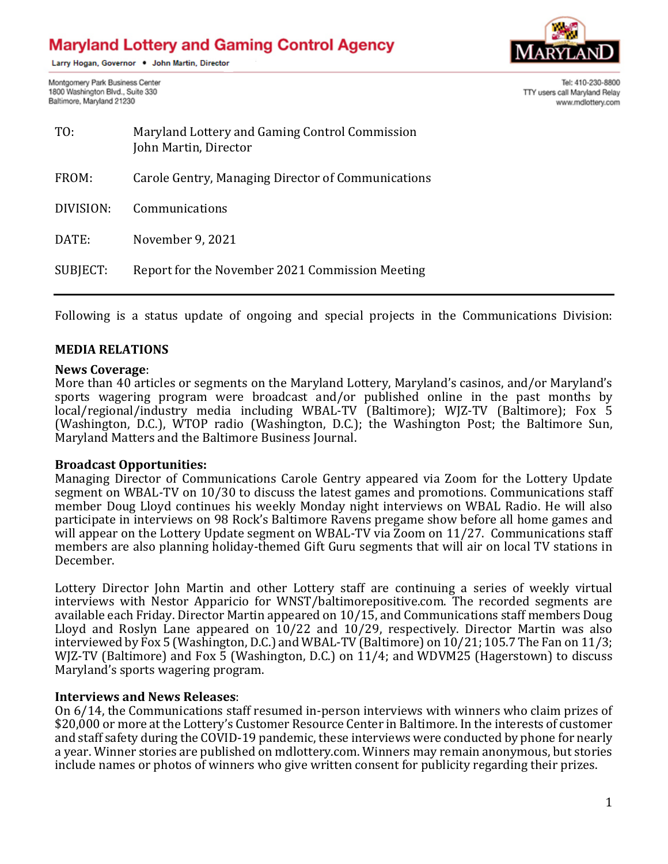# **Maryland Lottery and Gaming Control Agency**

Larry Hogan, Governor . John Martin, Director

Montgomery Park Business Center 1800 Washington Blvd., Suite 330 Baltimore, Maryland 21230



Tel: 410-230-8800 TTY users call Maryland Relay www.mdlottery.com

| TO:       | Maryland Lottery and Gaming Control Commission<br>John Martin, Director |
|-----------|-------------------------------------------------------------------------|
| FROM:     | Carole Gentry, Managing Director of Communications                      |
| DIVISION: | Communications                                                          |
| DATE:     | November 9, 2021                                                        |
| SUBJECT:  | Report for the November 2021 Commission Meeting                         |

Following is a status update of ongoing and special projects in the Communications Division:

#### **MEDIA RELATIONS**

#### **News Coverage**:

More than 40 articles or segments on the Maryland Lottery, Maryland's casinos, and/or Maryland's sports wagering program were broadcast and/or published online in the past months by local/regional/industry media including WBAL-TV (Baltimore); WJZ-TV (Baltimore); Fox 5 (Washington, D.C.), WTOP radio (Washington, D.C.); the Washington Post; the Baltimore Sun, Maryland Matters and the Baltimore Business Journal.

#### **Broadcast Opportunities:**

Managing Director of Communications Carole Gentry appeared via Zoom for the Lottery Update segment on WBAL-TV on 10/30 to discuss the latest games and promotions. Communications staff member Doug Lloyd continues his weekly Monday night interviews on WBAL Radio. He will also participate in interviews on 98 Rock's Baltimore Ravens pregame show before all home games and will appear on the Lottery Update segment on WBAL-TV via Zoom on 11/27. Communications staff members are also planning holiday-themed Gift Guru segments that will air on local TV stations in December.

Lottery Director John Martin and other Lottery staff are continuing a series of weekly virtual interviews with Nestor Apparicio for WNST/baltimorepositive.com. The recorded segments are available each Friday. Director Martin appeared on 10/15, and Communications staff members Doug Lloyd and Roslyn Lane appeared on 10/22 and 10/29, respectively. Director Martin was also interviewed by Fox 5 (Washington, D.C.) and WBAL-TV (Baltimore) on 10/21; 105.7 The Fan on 11/3; WJZ-TV (Baltimore) and Fox 5 (Washington, D.C.) on 11/4; and WDVM25 (Hagerstown) to discuss Maryland's sports wagering program.

#### **Interviews and News Releases**:

On 6/14, the Communications staff resumed in-person interviews with winners who claim prizes of \$20,000 or more at the Lottery's Customer Resource Center in Baltimore. In the interests of customer and staff safety during the COVID-19 pandemic, these interviews were conducted by phone for nearly a year. Winner stories are published on mdlottery.com. Winners may remain anonymous, but stories include names or photos of winners who give written consent for publicity regarding their prizes.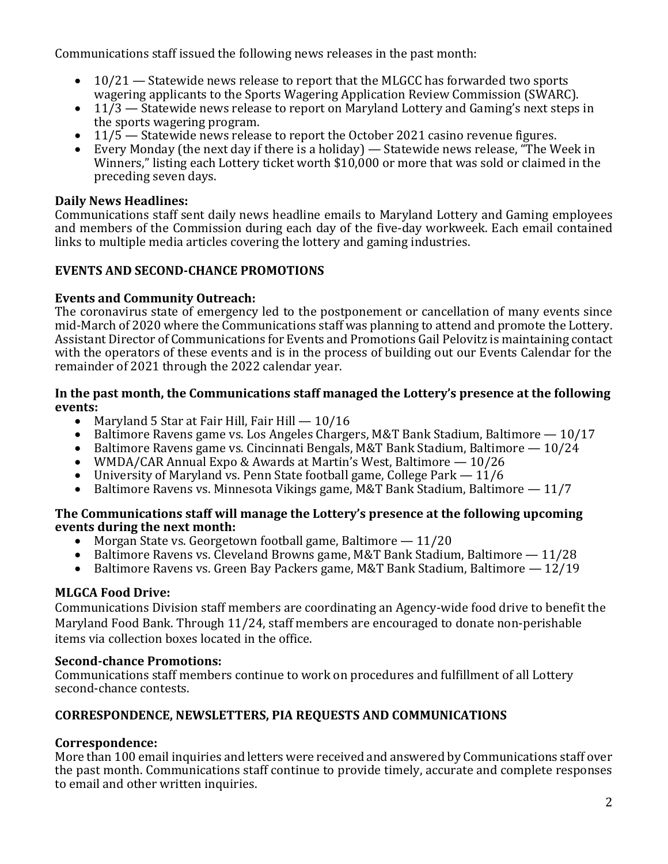Communications staff issued the following news releases in the past month:

- 10/21 Statewide news release to report that the MLGCC has forwarded two sports wagering applicants to the Sports Wagering Application Review Commission (SWARC).
- 11/3 Statewide news release to report on Maryland Lottery and Gaming's next steps in the sports wagering program.
- $11/5$  Statewide news release to report the October 2021 casino revenue figures.
- Every Monday (the next day if there is a holiday) Statewide news release, "The Week in Winners," listing each Lottery ticket worth \$10,000 or more that was sold or claimed in the preceding seven days.

## **Daily News Headlines:**

Communications staff sent daily news headline emails to Maryland Lottery and Gaming employees and members of the Commission during each day of the five-day workweek. Each email contained links to multiple media articles covering the lottery and gaming industries.

## **EVENTS AND SECOND-CHANCE PROMOTIONS**

## **Events and Community Outreach:**

The coronavirus state of emergency led to the postponement or cancellation of many events since mid-March of 2020 where the Communications staff was planning to attend and promote the Lottery. Assistant Director of Communications for Events and Promotions Gail Pelovitz is maintaining contact with the operators of these events and is in the process of building out our Events Calendar for the remainder of 2021 through the 2022 calendar year.

#### **In the past month, the Communications staff managed the Lottery's presence at the following events:**

- Maryland 5 Star at Fair Hill, Fair Hill  $-10/16$
- Baltimore Ravens game vs. Los Angeles Chargers, M&T Bank Stadium, Baltimore 10/17
- Baltimore Ravens game vs. Cincinnati Bengals, M&T Bank Stadium, Baltimore 10/24
- WMDA/CAR Annual Expo & Awards at Martin's West, Baltimore 10/26
- University of Maryland vs. Penn State football game, College Park 11/6
- Baltimore Ravens vs. Minnesota Vikings game, M&T Bank Stadium, Baltimore 11/7

## **The Communications staff will manage the Lottery's presence at the following upcoming events during the next month:**

- Morgan State vs. Georgetown football game, Baltimore  $-11/20$
- Baltimore Ravens vs. Cleveland Browns game, M&T Bank Stadium, Baltimore  $-11/28$
- Baltimore Ravens vs. Green Bay Packers game, M&T Bank Stadium, Baltimore 12/19

## **MLGCA Food Drive:**

Communications Division staff members are coordinating an Agency-wide food drive to benefit the Maryland Food Bank. Through 11/24, staff members are encouraged to donate non-perishable items via collection boxes located in the office.

## **Second-chance Promotions:**

Communications staff members continue to work on procedures and fulfillment of all Lottery second-chance contests.

## **CORRESPONDENCE, NEWSLETTERS, PIA REQUESTS AND COMMUNICATIONS**

## **Correspondence:**

More than 100 email inquiries and letters were received and answered by Communications staff over the past month. Communications staff continue to provide timely, accurate and complete responses to email and other written inquiries.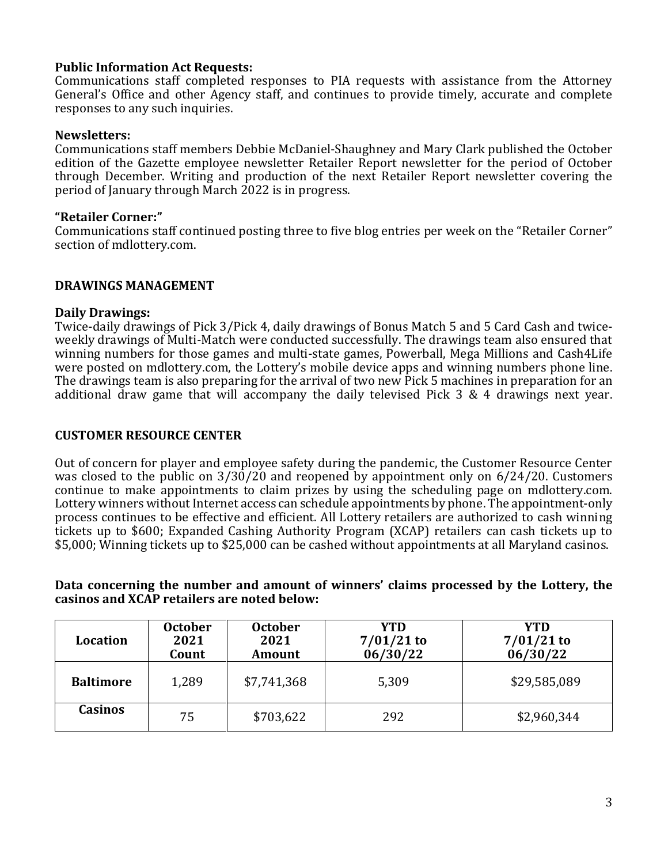## **Public Information Act Requests:**

Communications staff completed responses to PIA requests with assistance from the Attorney General's Office and other Agency staff, and continues to provide timely, accurate and complete responses to any such inquiries.

### **Newsletters:**

Communications staff members Debbie McDaniel-Shaughney and Mary Clark published the October edition of the Gazette employee newsletter Retailer Report newsletter for the period of October through December. Writing and production of the next Retailer Report newsletter covering the period of January through March 2022 is in progress.

### **"Retailer Corner:"**

Communications staff continued posting three to five blog entries per week on the "Retailer Corner" section of mdlottery.com.

## **DRAWINGS MANAGEMENT**

#### **Daily Drawings:**

Twice-daily drawings of Pick 3/Pick 4, daily drawings of Bonus Match 5 and 5 Card Cash and twiceweekly drawings of Multi-Match were conducted successfully. The drawings team also ensured that winning numbers for those games and multi-state games, Powerball, Mega Millions and Cash4Life were posted on mdlottery.com, the Lottery's mobile device apps and winning numbers phone line. The drawings team is also preparing for the arrival of two new Pick 5 machines in preparation for an additional draw game that will accompany the daily televised Pick 3 & 4 drawings next year.

## **CUSTOMER RESOURCE CENTER**

Out of concern for player and employee safety during the pandemic, the Customer Resource Center was closed to the public on 3/30/20 and reopened by appointment only on 6/24/20. Customers continue to make appointments to claim prizes by using the scheduling page on mdlottery.com. Lottery winners without Internet access can schedule appointments by phone. The appointment-only process continues to be effective and efficient. All Lottery retailers are authorized to cash winning tickets up to \$600; Expanded Cashing Authority Program (XCAP) retailers can cash tickets up to \$5,000; Winning tickets up to \$25,000 can be cashed without appointments at all Maryland casinos.

**Data concerning the number and amount of winners' claims processed by the Lottery, the casinos and XCAP retailers are noted below:**

| Location         | <b>October</b><br>2021<br>Count | <b>October</b><br>YTD<br>$7/01/21$ to<br>2021<br>06/30/22<br><b>Amount</b> |       | YTD<br>$7/01/21$ to<br>06/30/22 |
|------------------|---------------------------------|----------------------------------------------------------------------------|-------|---------------------------------|
| <b>Baltimore</b> | 1,289                           | \$7,741,368                                                                | 5,309 | \$29,585,089                    |
| <b>Casinos</b>   | 75                              | \$703,622                                                                  | 292   | \$2,960,344                     |